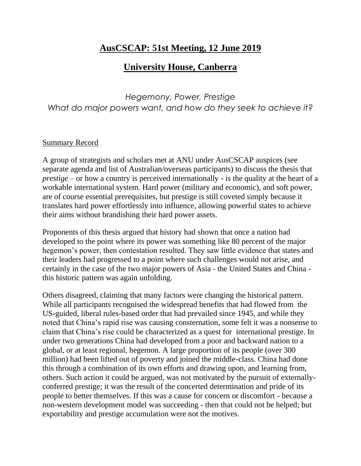## **AusCSCAP: 51st Meeting, 12 June 2019**

## **University House, Canberra**

*Hegemony, Power, Prestige What do major powers want, and how do they seek to achieve it?*

## Summary Record

A group of strategists and scholars met at ANU under AusCSCAP auspices (see separate agenda and list of Australian/overseas participants) to discuss the thesis that *prestige* – or how a country is perceived internationally - is the quality at the heart of a workable international system. Hard power (military and economic), and soft power, are of course essential prerequisites, but prestige is still coveted simply because it translates hard power effortlessly into influence, allowing powerful states to achieve their aims without brandishing their hard power assets.

Proponents of this thesis argued that history had shown that once a nation had developed to the point where its power was something like 80 percent of the major hegemon's power, then contestation resulted. They saw little evidence that states and their leaders had progressed to a point where such challenges would not arise, and certainly in the case of the two major powers of Asia - the United States and China this historic pattern was again unfolding.

Others disagreed, claiming that many factors were changing the historical pattern. While all participants recognised the widespread benefits that had flowed from the US-guided, liberal rules-based order that had prevailed since 1945, and while they noted that China's rapid rise was causing consternation, some felt it was a nonsense to claim that China's rise could be characterized as a quest for international prestige. In under two generations China had developed from a poor and backward nation to a global, or at least regional, hegemon. A large proportion of its people (over 300 million) had been lifted out of poverty and joined the middle-class. China had done this through a combination of its own efforts and drawing upon, and learning from, others. Such action it could be argued, was not motivated by the pursuit of externallyconferred prestige; it was the result of the concerted determination and pride of its people to better themselves. If this was a cause for concern or discomfort - because a non-western development model was succeeding - then that could not be helped; but exportability and prestige accumulation were not the motives.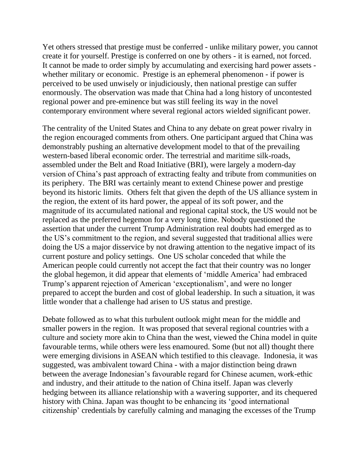Yet others stressed that prestige must be conferred - unlike military power, you cannot create it for yourself. Prestige is conferred on one by others - it is earned, not forced. It cannot be made to order simply by accumulating and exercising hard power assets whether military or economic. Prestige is an ephemeral phenomenon - if power is perceived to be used unwisely or injudiciously, then national prestige can suffer enormously. The observation was made that China had a long history of uncontested regional power and pre-eminence but was still feeling its way in the novel contemporary environment where several regional actors wielded significant power.

The centrality of the United States and China to any debate on great power rivalry in the region encouraged comments from others. One participant argued that China was demonstrably pushing an alternative development model to that of the prevailing western-based liberal economic order. The terrestrial and maritime silk-roads, assembled under the Belt and Road Initiative (BRI), were largely a modern-day version of China's past approach of extracting fealty and tribute from communities on its periphery. The BRI was certainly meant to extend Chinese power and prestige beyond its historic limits. Others felt that given the depth of the US alliance system in the region, the extent of its hard power, the appeal of its soft power, and the magnitude of its accumulated national and regional capital stock, the US would not be replaced as the preferred hegemon for a very long time. Nobody questioned the assertion that under the current Trump Administration real doubts had emerged as to the US's commitment to the region, and several suggested that traditional allies were doing the US a major disservice by not drawing attention to the negative impact of its current posture and policy settings. One US scholar conceded that while the American people could currently not accept the fact that their country was no longer the global hegemon, it did appear that elements of 'middle America' had embraced Trump's apparent rejection of American 'exceptionalism', and were no longer prepared to accept the burden and cost of global leadership. In such a situation, it was little wonder that a challenge had arisen to US status and prestige.

Debate followed as to what this turbulent outlook might mean for the middle and smaller powers in the region. It was proposed that several regional countries with a culture and society more akin to China than the west, viewed the China model in quite favourable terms, while others were less enamoured. Some (but not all) thought there were emerging divisions in ASEAN which testified to this cleavage. Indonesia, it was suggested, was ambivalent toward China - with a major distinction being drawn between the average Indonesian's favourable regard for Chinese acumen, work-ethic and industry, and their attitude to the nation of China itself. Japan was cleverly hedging between its alliance relationship with a wavering supporter, and its chequered history with China. Japan was thought to be enhancing its 'good international citizenship' credentials by carefully calming and managing the excesses of the Trump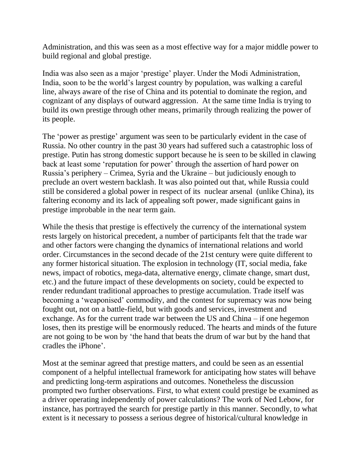Administration, and this was seen as a most effective way for a major middle power to build regional and global prestige.

India was also seen as a major 'prestige' player. Under the Modi Administration, India, soon to be the world's largest country by population, was walking a careful line, always aware of the rise of China and its potential to dominate the region, and cognizant of any displays of outward aggression. At the same time India is trying to build its own prestige through other means, primarily through realizing the power of its people.

The 'power as prestige' argument was seen to be particularly evident in the case of Russia. No other country in the past 30 years had suffered such a catastrophic loss of prestige. Putin has strong domestic support because he is seen to be skilled in clawing back at least some 'reputation for power' through the assertion of hard power on Russia's periphery – Crimea, Syria and the Ukraine – but judiciously enough to preclude an overt western backlash. It was also pointed out that, while Russia could still be considered a global power in respect of its nuclear arsenal (unlike China), its faltering economy and its lack of appealing soft power, made significant gains in prestige improbable in the near term gain.

While the thesis that prestige is effectively the currency of the international system rests largely on historical precedent, a number of participants felt that the trade war and other factors were changing the dynamics of international relations and world order. Circumstances in the second decade of the 21st century were quite different to any former historical situation. The explosion in technology (IT, social media, fake news, impact of robotics, mega-data, alternative energy, climate change, smart dust, etc.) and the future impact of these developments on society, could be expected to render redundant traditional approaches to prestige accumulation. Trade itself was becoming a 'weaponised' commodity, and the contest for supremacy was now being fought out, not on a battle-field, but with goods and services, investment and exchange. As for the current trade war between the US and China – if one hegemon loses, then its prestige will be enormously reduced. The hearts and minds of the future are not going to be won by 'the hand that beats the drum of war but by the hand that cradles the iPhone'.

Most at the seminar agreed that prestige matters, and could be seen as an essential component of a helpful intellectual framework for anticipating how states will behave and predicting long-term aspirations and outcomes. Nonetheless the discussion prompted two further observations. First, to what extent could prestige be examined as a driver operating independently of power calculations? The work of Ned Lebow, for instance, has portrayed the search for prestige partly in this manner. Secondly, to what extent is it necessary to possess a serious degree of historical/cultural knowledge in